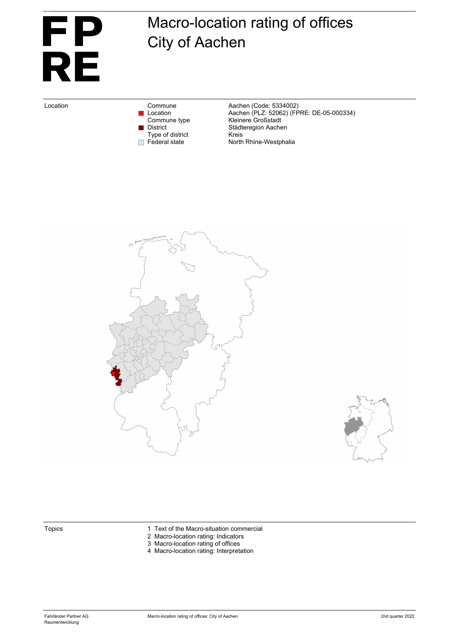# Eigentum von Fahrländer Partner AG, Zürich <u>FP</u> **RE**

# Macro-location rating of offices City of Aachen

Type of district<br>Federal state

Location Commune Commune Aachen (Code: 5334002)<br>Location Location Aachen (PLZ: 52062) (FF Location Aachen (PLZ: 52062) (FPRE: DE-05-000334) Commune type **Kleinere Großstadt** District Städteregion Aachen<br>Type of district Kreis North Rhine-Westphalia





- Topics 1 Text of the Macro-situation commercial
	- 2 Macro-location rating: Indicators
	- 3 Macro-location rating of offices
	- 4 Macro-location rating: Interpretation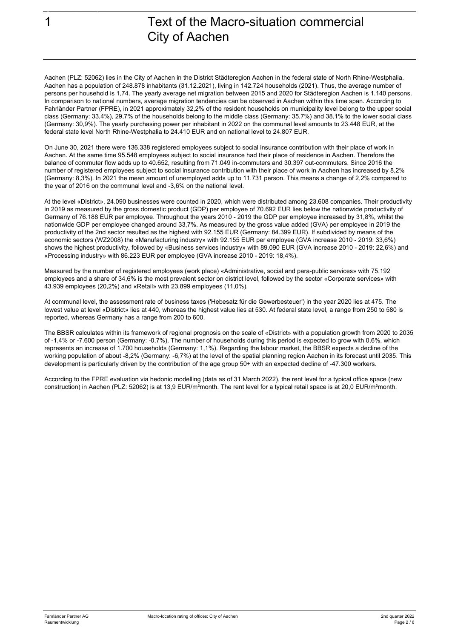Eigentum von Fahrländer Partner AG, Zürich

## 1 Text of the Macro-situation commercial City of Aachen

Aachen (PLZ: 52062) lies in the City of Aachen in the District Städteregion Aachen in the federal state of North Rhine-Westphalia. Aachen has a population of 248.878 inhabitants (31.12.2021), living in 142.724 households (2021). Thus, the average number of persons per household is 1,74. The yearly average net migration between 2015 and 2020 for Städteregion Aachen is 1.140 persons. In comparison to national numbers, average migration tendencies can be observed in Aachen within this time span. According to Fahrländer Partner (FPRE), in 2021 approximately 32,2% of the resident households on municipality level belong to the upper social class (Germany: 33,4%), 29,7% of the households belong to the middle class (Germany: 35,7%) and 38,1% to the lower social class (Germany: 30,9%). The yearly purchasing power per inhabitant in 2022 on the communal level amounts to 23.448 EUR, at the federal state level North Rhine-Westphalia to 24.410 EUR and on national level to 24.807 EUR.

On June 30, 2021 there were 136.338 registered employees subject to social insurance contribution with their place of work in Aachen. At the same time 95.548 employees subject to social insurance had their place of residence in Aachen. Therefore the balance of commuter flow adds up to 40.652, resulting from 71.049 in-commuters and 30.397 out-commuters. Since 2016 the number of registered employees subject to social insurance contribution with their place of work in Aachen has increased by 8,2% (Germany: 8,3%). In 2021 the mean amount of unemployed adds up to 11.731 person. This means a change of 2,2% compared to the year of 2016 on the communal level and -3,6% on the national level.

At the level «District», 24.090 businesses were counted in 2020, which were distributed among 23.608 companies. Their productivity in 2019 as measured by the gross domestic product (GDP) per employee of 70.692 EUR lies below the nationwide productivity of Germany of 76.188 EUR per employee. Throughout the years 2010 - 2019 the GDP per employee increased by 31,8%, whilst the nationwide GDP per employee changed around 33,7%. As measured by the gross value added (GVA) per employee in 2019 the productivity of the 2nd sector resulted as the highest with 92.155 EUR (Germany: 84.399 EUR). If subdivided by means of the economic sectors (WZ2008) the «Manufacturing industry» with 92.155 EUR per employee (GVA increase 2010 - 2019: 33,6%) shows the highest productivity, followed by «Business services industry» with 89.090 EUR (GVA increase 2010 - 2019: 22,6%) and «Processing industry» with 86.223 EUR per employee (GVA increase 2010 - 2019: 18,4%).

Measured by the number of registered employees (work place) «Administrative, social and para-public services» with 75.192 employees and a share of 34,6% is the most prevalent sector on district level, followed by the sector «Corporate services» with 43.939 employees (20,2%) and «Retail» with 23.899 employees (11,0%).

At communal level, the assessment rate of business taxes ('Hebesatz für die Gewerbesteuer') in the year 2020 lies at 475. The lowest value at level «District» lies at 440, whereas the highest value lies at 530. At federal state level, a range from 250 to 580 is reported, whereas Germany has a range from 200 to 600.

The BBSR calculates within its framework of regional prognosis on the scale of «District» with a population growth from 2020 to 2035 of -1,4% or -7.600 person (Germany: -0,7%). The number of households during this period is expected to grow with 0,6%, which represents an increase of 1.700 households (Germany: 1,1%). Regarding the labour market, the BBSR expects a decline of the working population of about -8,2% (Germany: -6,7%) at the level of the spatial planning region Aachen in its forecast until 2035. This development is particularly driven by the contribution of the age group 50+ with an expected decline of -47.300 workers.

According to the FPRE evaluation via hedonic modelling (data as of 31 March 2022), the rent level for a typical office space (new construction) in Aachen (PLZ: 52062) is at 13,9 EUR/m²month. The rent level for a typical retail space is at 20,0 EUR/m²month.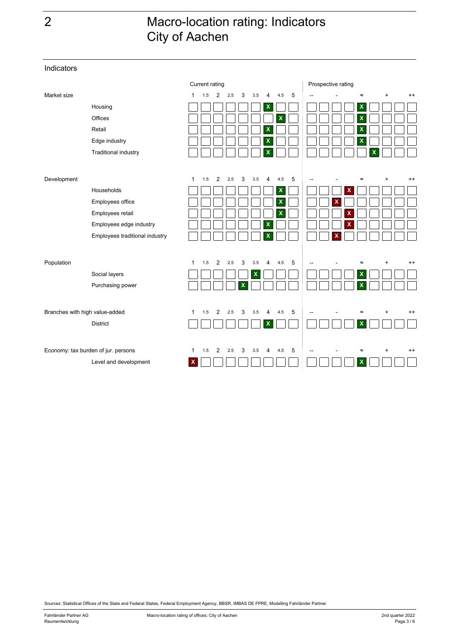# 2 Macro-location rating: Indicators City of Aachen

Current rating **Prospective rating** Market size 1 1.5 2 2.5 3 3.5 4 4.5 5 -- -. - .- ≈ .+ + +. ++ Housing **X X** Offices **X X** Retail **X X** Edge industry **X X** Traditional industry **X X** Development the term of the contract the contract term of the contract term of the contract term of the contract term of the contract of the contract of the contract of the contract of the contract of the contract of the Households **X X** Employees office **X X** Employees retail  $\Box \Box \Box \Box \Box \Box \Box$  **X** Employees edge industry **X X** Employees traditional industry  $\textsf{Population} \quad \textsf{1} \quad \textsf{2} \quad \textsf{2.5} \quad \textsf{3} \quad \textsf{3.5} \quad \textsf{4} \quad \textsf{4.5} \quad \textsf{5} \quad \textsf{|-} \quad \textsf{=} \quad \textsf{=} \quad \textsf{+} \quad \textsf{++}$ Social layers **X X** Purchasing power  $\Box \Box \Box \Box \times \Box \Box \Box \Box \Box \Box \times$ Branches with high value-added 1 1.5 2 2.5 3 3.5 4 4.5 5  $-$  - ≈ + ++ District **X X** Economy: tax burden of jur. persons 1 1.5 2 2.5 3 3.5 4 4.5 5  $-$  - ≈ + ++ Level and development **X X**  $\Box$ a ka

Sources: Statistical Offices of the State and Federal States, Federal Employment Agency, BBSR, IMBAS DE FPRE, Modelling Fahrländer Partner.

Indicators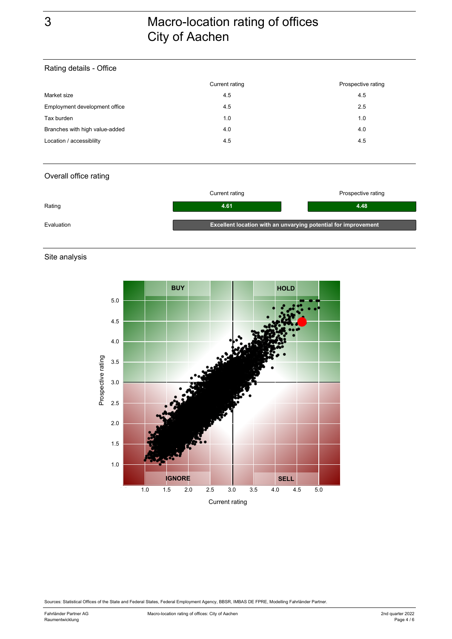### Rating details - Office

| Current rating | Prospective rating |
|----------------|--------------------|
| 4.5            | 4.5                |
| 4.5            | 2.5                |
| 1.0            | 1.0                |
| 4.0            | 4.0                |
| 4.5            | 4.5                |
|                |                    |

#### Overall office rating

|            | Current rating                                                 | Prospective rating |
|------------|----------------------------------------------------------------|--------------------|
| Rating     | 4.61                                                           | 4.48               |
| Evaluation | Excellent location with an unvarying potential for improvement |                    |

#### Site analysis



Sources: Statistical Offices of the State and Federal States, Federal Employment Agency, BBSR, IMBAS DE FPRE, Modelling Fahrländer Partner.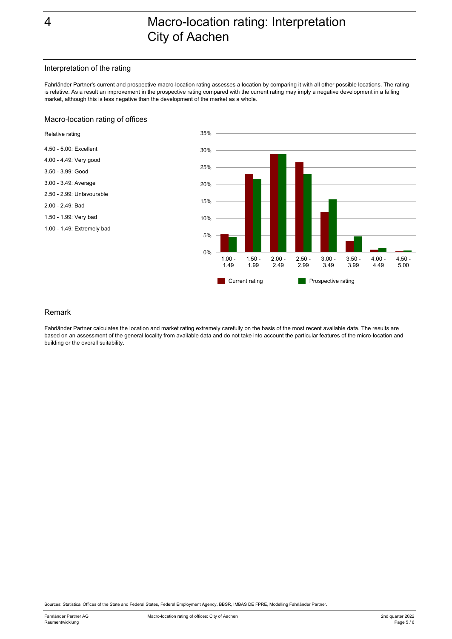#### Interpretation of the rating

Fahrländer Partner's current and prospective macro-location rating assesses a location by comparing it with all other possible locations. The rating is relative. As a result an improvement in the prospective rating compared with the current rating may imply a negative development in a falling market, although this is less negative than the development of the market as a whole.

#### Macro-location rating of offices



#### Remark

Fahrländer Partner calculates the location and market rating extremely carefully on the basis of the most recent available data. The results are based on an assessment of the general locality from available data and do not take into account the particular features of the micro-location and building or the overall suitability.

Sources: Statistical Offices of the State and Federal States, Federal Employment Agency, BBSR, IMBAS DE FPRE, Modelling Fahrländer Partner.